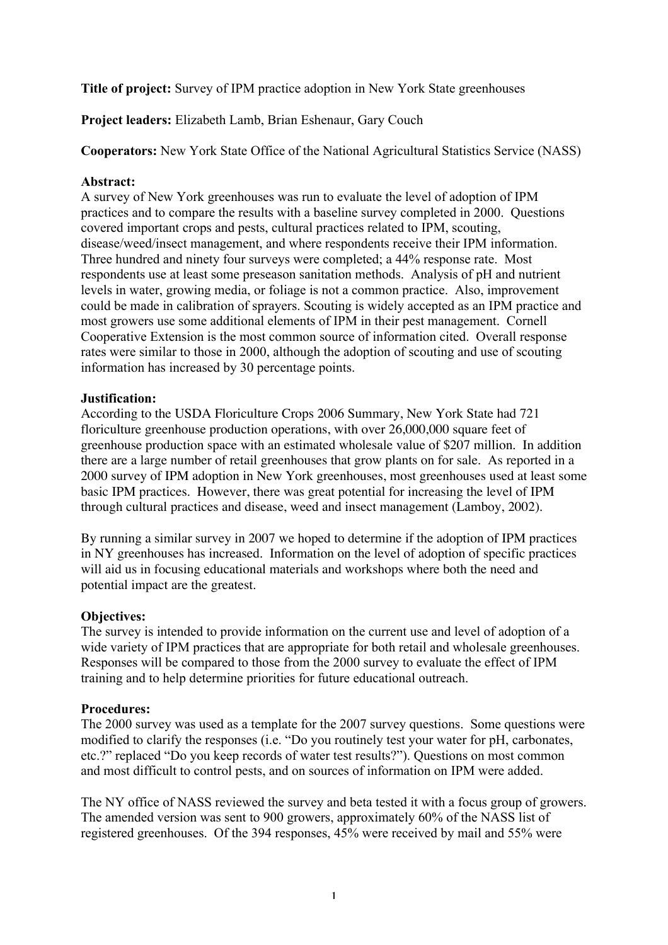Title of project: Survey of IPM practice adoption in New York State greenhouses

Project leaders: Elizabeth Lamb, Brian Eshenaur, Gary Couch

Cooperators: New York State Office of the National Agricultural Statistics Service (NASS)

### Abstract:

A survey of New York greenhouses was run to evaluate the level of adoption of IPM practices and to compare the results with a baseline survey completed in 2000. Questions covered important crops and pests, cultural practices related to IPM, scouting, disease/weed/insect management, and where respondents receive their IPM information. Three hundred and ninety four surveys were completed; a 44% response rate. Most respondents use at least some preseason sanitation methods. Analysis of pH and nutrient levels in water, growing media, or foliage is not a common practice. Also, improvement could be made in calibration of sprayers. Scouting is widely accepted as an IPM practice and most growers use some additional elements of IPM in their pest management. Cornell Cooperative Extension is the most common source of information cited. Overall response rates were similar to those in 2000, although the adoption of scouting and use of scouting information has increased by 30 percentage points.

### Justification:

According to the USDA Floriculture Crops 2006 Summary, New York State had 721 floriculture greenhouse production operations, with over 26,000,000 square feet of greenhouse production space with an estimated wholesale value of \$207 million. In addition there are a large number of retail greenhouses that grow plants on for sale. As reported in a 2000 survey of IPM adoption in New York greenhouses, most greenhouses used at least some basic IPM practices. However, there was great potential for increasing the level of IPM through cultural practices and disease, weed and insect management (Lamboy, 2002).

By running a similar survey in 2007 we hoped to determine if the adoption of IPM practices in NY greenhouses has increased. Information on the level of adoption of specific practices will aid us in focusing educational materials and workshops where both the need and potential impact are the greatest.

# Objectives:

The survey is intended to provide information on the current use and level of adoption of a wide variety of IPM practices that are appropriate for both retail and wholesale greenhouses. Responses will be compared to those from the 2000 survey to evaluate the effect of IPM training and to help determine priorities for future educational outreach.

# Procedures:

The 2000 survey was used as a template for the 2007 survey questions. Some questions were modified to clarify the responses (i.e. "Do you routinely test your water for pH, carbonates, etc.?" replaced "Do you keep records of water test results?"). Questions on most common and most difficult to control pests, and on sources of information on IPM were added.

The NY office of NASS reviewed the survey and beta tested it with a focus group of growers. The amended version was sent to 900 growers, approximately 60% of the NASS list of registered greenhouses. Of the 394 responses, 45% were received by mail and 55% were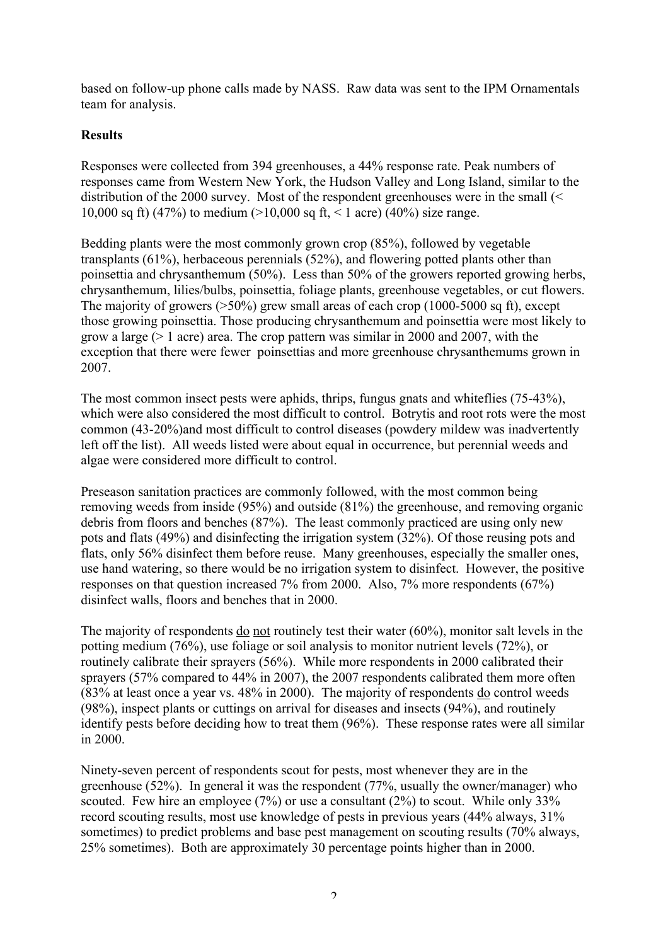based on follow-up phone calls made by NASS. Raw data was sent to the IPM Ornamentals team for analysis.

## **Results**

Responses were collected from 394 greenhouses, a 44% response rate. Peak numbers of responses came from Western New York, the Hudson Valley and Long Island, similar to the distribution of the 2000 survey. Most of the respondent greenhouses were in the small (< 10,000 sq ft) (47%) to medium (>10,000 sq ft, < 1 acre) (40%) size range.

Bedding plants were the most commonly grown crop (85%), followed by vegetable transplants (61%), herbaceous perennials (52%), and flowering potted plants other than poinsettia and chrysanthemum (50%). Less than 50% of the growers reported growing herbs, chrysanthemum, lilies/bulbs, poinsettia, foliage plants, greenhouse vegetables, or cut flowers. The majority of growers ( $>50\%$ ) grew small areas of each crop (1000-5000 sq ft), except those growing poinsettia. Those producing chrysanthemum and poinsettia were most likely to grow a large (> 1 acre) area. The crop pattern was similar in 2000 and 2007, with the exception that there were fewer poinsettias and more greenhouse chrysanthemums grown in 2007.

The most common insect pests were aphids, thrips, fungus gnats and whiteflies (75-43%), which were also considered the most difficult to control. Botrytis and root rots were the most common (43-20%)and most difficult to control diseases (powdery mildew was inadvertently left off the list). All weeds listed were about equal in occurrence, but perennial weeds and algae were considered more difficult to control.

Preseason sanitation practices are commonly followed, with the most common being removing weeds from inside (95%) and outside (81%) the greenhouse, and removing organic debris from floors and benches (87%). The least commonly practiced are using only new pots and flats (49%) and disinfecting the irrigation system (32%). Of those reusing pots and flats, only 56% disinfect them before reuse. Many greenhouses, especially the smaller ones, use hand watering, so there would be no irrigation system to disinfect. However, the positive responses on that question increased 7% from 2000. Also, 7% more respondents (67%) disinfect walls, floors and benches that in 2000.

The majority of respondents <u>do not</u> routinely test their water (60%), monitor salt levels in the potting medium (76%), use foliage or soil analysis to monitor nutrient levels (72%), or routinely calibrate their sprayers (56%). While more respondents in 2000 calibrated their sprayers (57% compared to 44% in 2007), the 2007 respondents calibrated them more often (83% at least once a year vs. 48% in 2000). The majority of respondents do control weeds (98%), inspect plants or cuttings on arrival for diseases and insects (94%), and routinely identify pests before deciding how to treat them (96%). These response rates were all similar in 2000.

Ninety-seven percent of respondents scout for pests, most whenever they are in the greenhouse (52%). In general it was the respondent (77%, usually the owner/manager) who scouted. Few hire an employee  $(7%)$  or use a consultant  $(2%)$  to scout. While only 33% record scouting results, most use knowledge of pests in previous years (44% always, 31% sometimes) to predict problems and base pest management on scouting results (70% always, 25% sometimes). Both are approximately 30 percentage points higher than in 2000.